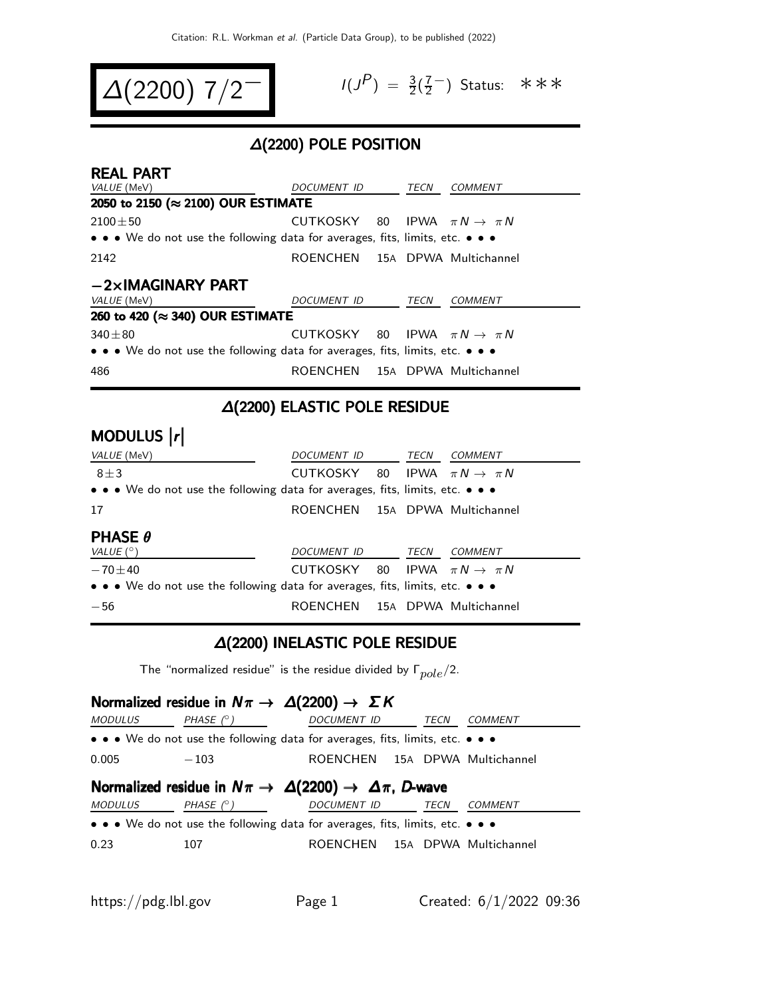$$
\Delta(2200) \; 7/2^{-1} \qquad \qquad ^{1/3}
$$

$$
I(J^P) = \frac{3}{2}(\frac{7}{2}^{-})
$$
 Status:  $\ast \ast \ast$ 

### ∆(2200) POLE POSITION

| <b>REAL PART</b>                                                                                                      |                                            |      |                |
|-----------------------------------------------------------------------------------------------------------------------|--------------------------------------------|------|----------------|
| VALUE (MeV)                                                                                                           | <i>DOCUMENT ID</i>                         | TECN | COMMENT        |
| 2050 to 2150 (≈ 2100) OUR ESTIMATE                                                                                    |                                            |      |                |
| $2100 \pm 50$                                                                                                         | CUTKOSKY 80 IPWA $\pi N \rightarrow \pi N$ |      |                |
| $\bullet \bullet \bullet$ We do not use the following data for averages, fits, limits, etc. $\bullet \bullet \bullet$ |                                            |      |                |
| 2142                                                                                                                  | ROENCHEN 15A DPWA Multichannel             |      |                |
| $-2\times$ IMAGINARY PART                                                                                             |                                            |      |                |
| <i>VALUE</i> (MeV)                                                                                                    | <i>DOCUMENT ID</i>                         | TECN | <b>COMMENT</b> |
| 260 to 420 (≈ 340) OUR ESTIMATE                                                                                       |                                            |      |                |
| $340 + 80$                                                                                                            | CUTKOSKY 80 IPWA $\pi N \rightarrow \pi N$ |      |                |
| $\bullet \bullet \bullet$ We do not use the following data for averages, fits, limits, etc. $\bullet \bullet \bullet$ |                                            |      |                |
| 486                                                                                                                   | ROENCHEN 15A DPWA Multichannel             |      |                |

#### ∆(2200) ELASTIC POLE RESIDUE

# MODULUS |r|

| <i>VALUE</i> (MeV)                                                                                                    | DOCUMENT ID TECN COMMENT                   |             |                |
|-----------------------------------------------------------------------------------------------------------------------|--------------------------------------------|-------------|----------------|
| $8 + 3$                                                                                                               | CUTKOSKY 80 IPWA $\pi N \rightarrow \pi N$ |             |                |
| $\bullet \bullet \bullet$ We do not use the following data for averages, fits, limits, etc. $\bullet \bullet \bullet$ |                                            |             |                |
| 17                                                                                                                    | ROENCHEN 15A DPWA Multichannel             |             |                |
| <b>PHASE <math>\theta</math></b>                                                                                      |                                            |             |                |
| VALUE $(^\circ)$                                                                                                      | DOCUMENT ID                                | <b>TECN</b> | <i>COMMENT</i> |
| $-70 + 40$                                                                                                            | CUTKOSKY 80 IPWA $\pi N \rightarrow \pi N$ |             |                |
| • • • We do not use the following data for averages, fits, limits, etc. • • •                                         |                                            |             |                |
| $-56$                                                                                                                 | ROENCHEN 15A DPWA Multichannel             |             |                |

#### ∆(2200) INELASTIC POLE RESIDUE

The "normalized residue" is the residue divided by  $\Gamma_{pole}/2$ .

### Normalized residue in  $N\pi \rightarrow \Delta(2200) \rightarrow \Sigma K$  $MODULUS$  PHASE  $(°)$  DOCUMENT ID TECN COMMENT • • • We do not use the following data for averages, fits, limits, etc. • • • 0.005 -103 ROENCHEN 15A DPWA Multichannel Normalized residue in  $N\pi \to \Delta(2200) \to \Delta\pi$ , D-wave MODULUS PHASE (°) DOCUMENT ID TECN COMMENT • • • We do not use the following data for averages, fits, limits, etc. • • • 0.23 107 ROENCHEN 15A DPWA Multichannel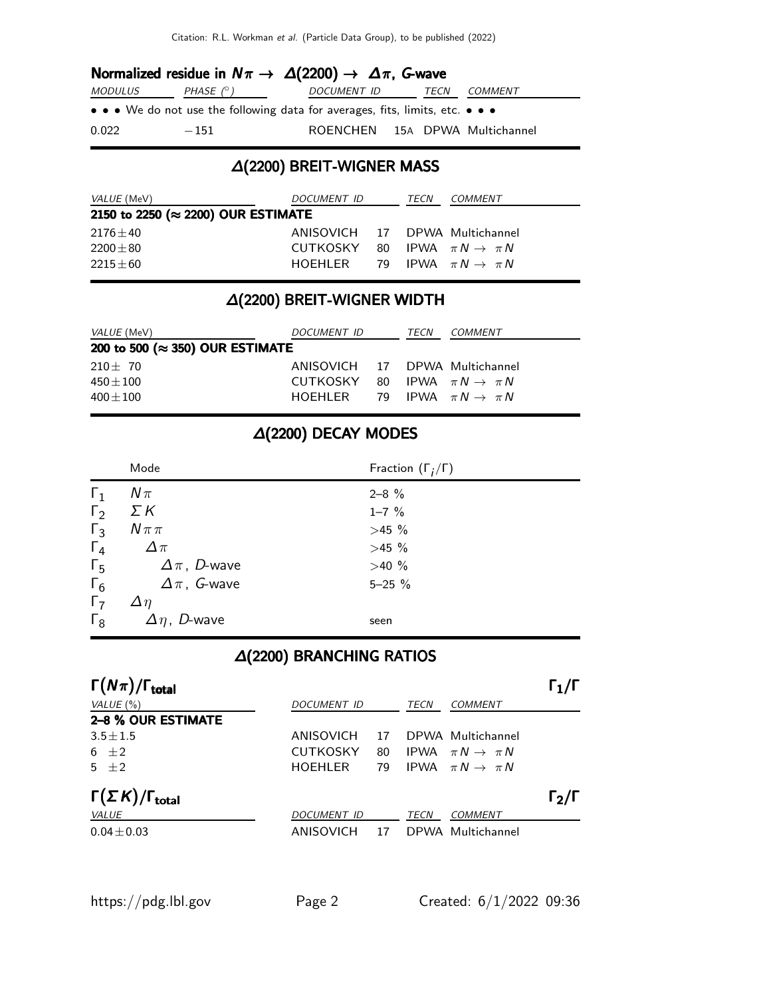|         | Normalized residue in $N\pi \to \Delta(2200) \to \Delta\pi$ , G-wave          |                                |                |
|---------|-------------------------------------------------------------------------------|--------------------------------|----------------|
| MODULUS | PHASE (° )                                                                    | DOCUMENT ID TECN               | <i>COMMENT</i> |
|         | • • • We do not use the following data for averages, fits, limits, etc. • • • |                                |                |
| 0.022   | $-151$                                                                        | ROENCHEN 15A DPWA Multichannel |                |

### ∆(2200) BREIT-WIGNER MASS

| <i>VALUE</i> (MeV)                 | <i>DOCUMENT ID</i>                         | TECN | COMMENT |
|------------------------------------|--------------------------------------------|------|---------|
| 2150 to 2250 (≈ 2200) OUR ESTIMATE |                                            |      |         |
| $2176 \pm 40$                      | ANISOVICH 17 DPWA Multichannel             |      |         |
| $2200 \pm 80$                      | CUTKOSKY 80 IPWA $\pi N \rightarrow \pi N$ |      |         |
| $2215+60$                          | HOEHLER 79 IPWA $\pi N \rightarrow \pi N$  |      |         |

## ∆(2200) BREIT-WIGNER WIDTH

| <i>VALUE</i> (MeV)                           | <i>DOCUMENT ID</i>                                                                                                        | TECN | <i>COMMENT</i> |
|----------------------------------------------|---------------------------------------------------------------------------------------------------------------------------|------|----------------|
| 200 to 500 ( $\approx$ 350) OUR ESTIMATE     |                                                                                                                           |      |                |
| $210 \pm 70$<br>$450\pm100$<br>$400 \pm 100$ | ANISOVICH 17 DPWA Multichannel<br>CUTKOSKY 80 IPWA $\pi N \rightarrow \pi N$<br>HOEHLER 79 IPWA $\pi N \rightarrow \pi N$ |      |                |

## ∆(2200) DECAY MODES

|            | Mode                   | Fraction $(\Gamma_i/\Gamma)$ |
|------------|------------------------|------------------------------|
| $\Gamma_1$ | $N\pi$                 | $2 - 8$ %                    |
| $\Gamma_2$ | ΣΚ                     | $1 - 7 \%$                   |
| $\Gamma_3$ | $N\pi\pi$              | >45%                         |
| $\Gamma_4$ | $\Delta \pi$           | $>45\%$                      |
| $\Gamma_5$ | $\Delta \pi$ , D-wave  | $>40\%$                      |
| $\Gamma_6$ | $\Delta \pi$ , G-wave  | $5 - 25%$                    |
| $\Gamma_7$ | $\Delta \eta$          |                              |
| $\Gamma_8$ | $\Delta \eta$ , D-wave | seen                         |

### ∆(2200) BRANCHING RATIOS

| $\Gamma(N\pi)/\Gamma_{\rm total}$     |                    |    |      |                                | $\Gamma_1/\Gamma$ |
|---------------------------------------|--------------------|----|------|--------------------------------|-------------------|
| VALUE $(\% )$                         | DOCUMENT ID        |    | TECN | <b>COMMENT</b>                 |                   |
| 2-8 % OUR ESTIMATE                    |                    |    |      |                                |                   |
| $3.5 \pm 1.5$                         | ANISOVICH          | 17 |      | DPWA Multichannel              |                   |
| 6 $\pm 2$                             | <b>CUTKOSKY</b>    | 80 |      | IPWA $\pi N \rightarrow \pi N$ |                   |
| $5 + 2$                               | <b>HOEHLER</b>     | 79 |      | IPWA $\pi N \rightarrow \pi N$ |                   |
| $\Gamma(\Sigma K)/\Gamma_{\rm total}$ |                    |    |      |                                | $\Gamma_2/\Gamma$ |
| VALUE                                 | <b>DOCUMENT ID</b> |    | TECN | <b>COMMENT</b>                 |                   |
| $0.04 \pm 0.03$                       | ANISOVICH          | 17 |      | DPWA Multichannel              |                   |